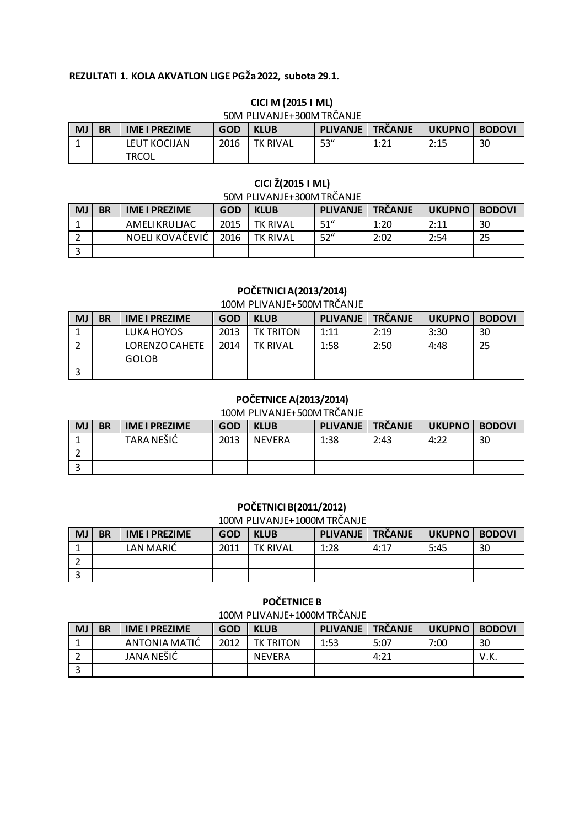## **REZULTATI 1. KOLA AKVATLON LIGE PGŽa 2022, subota 29.1.**

|           | 50M PLIVANJE+300M IRCANJE |                       |            |                 |                 |                |          |               |  |  |  |
|-----------|---------------------------|-----------------------|------------|-----------------|-----------------|----------------|----------|---------------|--|--|--|
| <b>MJ</b> | <b>BR</b>                 | <b>IME I PREZIME</b>  | <b>GOD</b> | <b>KLUB</b>     | <b>PLIVANJE</b> | <b>TRČANJE</b> | UKUPNO I | <b>BODOVI</b> |  |  |  |
|           |                           | LEUT KOCIJAN<br>TRCOL | 2016       | <b>TK RIVAL</b> | 53"             | 1:21           | 2:15     | 30            |  |  |  |

#### **CICI M (2015 I ML)** 50M PLIVANIE+300M TDČANIE

# **CICI Ž(2015 I ML)**

## 50M PLIVANJE+300M TRČANJE

| <b>MJ</b> | <b>BR</b> | <b>IME I PREZIME</b> | GOD  | <b>KLUB</b>     | <b>PLIVANJE</b> | <b>TRČANJE</b> | UKUPNO BODOVI |    |
|-----------|-----------|----------------------|------|-----------------|-----------------|----------------|---------------|----|
|           |           | AMELIKRULJAC         | 2015 | <b>TK RIVAL</b> | 51''            | 1:20           | 2:11          | 30 |
|           |           | NOELI KOVAČEVIĆ      | 2016 | <b>TK RIVAL</b> | 52''            | 2:02           | 2:54          | 25 |
|           |           |                      |      |                 |                 |                |               |    |

## **POČETNICI A(2013/2014)**

#### 100M PLIVANJE+500M TRČANJE

| MJ | <b>BR</b> | <b>IME I PREZIME</b>           | <b>GOD</b> | <b>KLUB</b>      | <b>PLIVANJE</b> | <b>TRČANJE</b> | <b>UKUPNO</b> | <b>BODOVI</b> |
|----|-----------|--------------------------------|------------|------------------|-----------------|----------------|---------------|---------------|
|    |           | LUKA HOYOS                     | 2013       | <b>TK TRITON</b> | 1:11            | 2:19           | 3:30          | 30            |
|    |           | LORENZO CAHETE<br><b>GOLOB</b> | 2014       | <b>TK RIVAL</b>  | 1:58            | 2:50           | 4:48          | 25            |
| ∍  |           |                                |            |                  |                 |                |               |               |

# **POČETNICE A(2013/2014)**

## 100M PLIVANJE+500M TRČANJE

| <b>MJ</b> | <b>BR</b> | <b>IME I PREZIME</b> | <b>GOD</b> | <b>KLUB</b>   | <b>PLIVANJE</b> | <b>TRČANJE</b> | UKUPNO BODOVI |    |
|-----------|-----------|----------------------|------------|---------------|-----------------|----------------|---------------|----|
|           |           | <b>TARA NEŠIĆ</b>    | 2013       | <b>NEVERA</b> | 1:38            | 2:43           | 4:22          | 30 |
|           |           |                      |            |               |                 |                |               |    |
|           |           |                      |            |               |                 |                |               |    |

#### **POČETNICI B(2011/2012)**

#### 100M PLIVANJE+1000M TRČANJE

| <b>MJ</b> | <b>BR</b> | <b>IME I PREZIME</b> | <b>GOD</b> | <b>KLUB</b>     | <b>PLIVANJE</b> | <b>TRČANJE</b> | <b>UKUPNO</b> | <b>BODOVI</b> |
|-----------|-----------|----------------------|------------|-----------------|-----------------|----------------|---------------|---------------|
|           |           | LAN MARIČ            | 2011       | <b>TK RIVAL</b> | 1:28            | 4:17           | 5:45          | 30            |
|           |           |                      |            |                 |                 |                |               |               |
|           |           |                      |            |                 |                 |                |               |               |

#### **POČETNICE B**

100M PLIVANJE+1000M TRČANJE

| <b>MJ</b> | <b>BR</b> | <b>IME I PREZIME</b> | <b>GOD</b> | <b>KLUB</b>      | PLIVANJE TRČANJE |      | <b>UKUPNO</b> | <b>BODOVI</b> |
|-----------|-----------|----------------------|------------|------------------|------------------|------|---------------|---------------|
|           |           | ANTONIA MATIC        | 2012       | <b>TK TRITON</b> | 1:53             | 5:07 | 7:00          | 30            |
|           |           | JANA NEŠIĆ           |            | <b>NEVERA</b>    |                  | 4:21 |               | V.K.          |
|           |           |                      |            |                  |                  |      |               |               |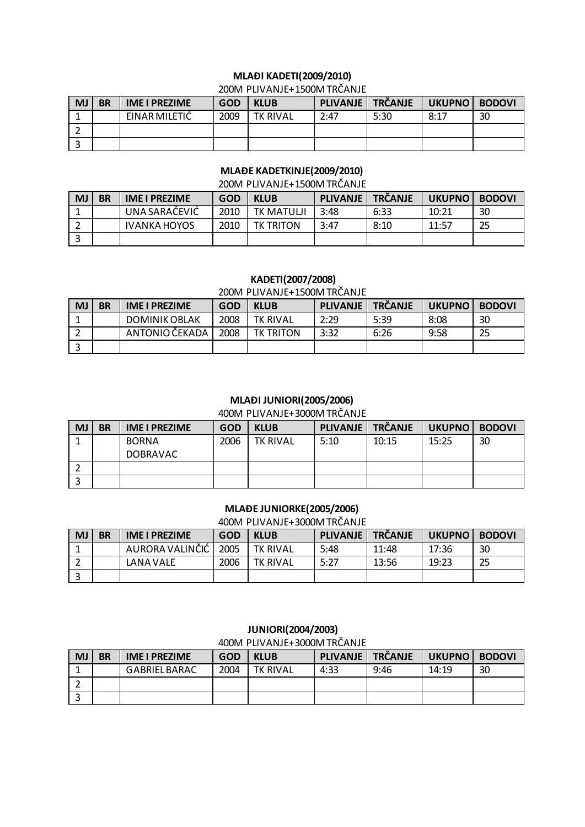# **MLAĐI KADETI(2009/2010)**

#### 200M PLIVANJE+1500M TRČANJE

| <b>MJ</b> | <b>BR</b> | <b>IME I PREZIME</b> | <b>GOD</b> | <b>KLUB</b>     | <b>PLIVANJE</b> | <b>TRČANJE</b> | UKUPNO | <b>BODOVI</b> |
|-----------|-----------|----------------------|------------|-----------------|-----------------|----------------|--------|---------------|
|           |           | EINAR MILETIC        | 2009       | <b>TK RIVAL</b> | 2:47            | 5:30           | 8:17   | 30            |
|           |           |                      |            |                 |                 |                |        |               |
|           |           |                      |            |                 |                 |                |        |               |

## **MLAĐE KADETKINJE(2009/2010)**

#### 200M PLIVANJE+1500M TRČANJE

| <b>MJ</b> | <b>BR</b> | <b>IME I PREZIME</b> | GOD  | <b>KLUB</b>      | <b>PLIVANJE</b> | <b>TRČANJE</b> | UKUPNO | <b>BODOVI</b> |
|-----------|-----------|----------------------|------|------------------|-----------------|----------------|--------|---------------|
|           |           | UNA SARAČEVIĆ        | 2010 | <b>TK MATULI</b> | 3:48            | 6:33           | 10:21  | 30            |
|           |           | <b>IVANKA HOYOS</b>  | 2010 | <b>TK TRITON</b> | 3:47            | 8:10           | 11:57  | 25            |
|           |           |                      |      |                  |                 |                |        |               |

## **KADETI(2007/2008)**

### 200M PLIVANJE+1500M TRČANJE

| <b>MJ</b> | <b>BR</b> | <b>IME I PREZIME</b> | <b>GOD</b> | <b>KLUB</b>      | <b>PLIVANJE</b> | <b>TRČANJE</b> | UKUPNO BODOVI |    |
|-----------|-----------|----------------------|------------|------------------|-----------------|----------------|---------------|----|
|           |           | DOMINIK OBLAK        | 2008       | <b>TK RIVAL</b>  | 2:29            | 5:39           | 8:08          | 30 |
|           |           | ANTONIO ČEKADA       | 2008       | <b>TK TRITON</b> | 3:32            | 6:26           | 9:58          | 25 |
|           |           |                      |            |                  |                 |                |               |    |

#### **MLAĐI JUNIORI(2005/2006)**

400M PLIVANJE+3000M TRČANJE

| <b>MJ</b> | <b>BR</b> | <b>IME I PREZIME</b> | <b>GOD</b> | <b>KLUB</b>     | <b>PLIVANJE</b> | <b>TRČANJE</b> | UKUPNO BODOVI |    |
|-----------|-----------|----------------------|------------|-----------------|-----------------|----------------|---------------|----|
|           |           | <b>BORNA</b>         | 2006       | <b>TK RIVAL</b> | 5:10            | 10:15          | 15:25         | 30 |
|           |           | <b>DOBRAVAC</b>      |            |                 |                 |                |               |    |
|           |           |                      |            |                 |                 |                |               |    |
|           |           |                      |            |                 |                 |                |               |    |

#### **MLAĐE JUNIORKE(2005/2006)**

400M PLIVANJE+3000M TRČANJE

| <b>MJ</b> | <b>BR</b> | <b>IME I PREZIME</b> | <b>GOD</b> | <b>KLUB</b>     | <b>PLIVANJE</b> | <b>TRČANJE</b> | UKUPNO BODOVI |    |
|-----------|-----------|----------------------|------------|-----------------|-----------------|----------------|---------------|----|
|           |           | AURORA VALINČIĆ      | 2005       | <b>TK RIVAL</b> | 5:48            | 11:48          | 17:36         | 30 |
|           |           | <b>LANA VALE</b>     | 2006       | <b>TK RIVAL</b> | 5:27            | 13:56          | 19:23         | 25 |
|           |           |                      |            |                 |                 |                |               |    |

## **JUNIORI(2004/2003)**

#### 400M PLIVANJE+3000M TRČANJE

| <b>MJ</b> | <b>BR</b> | <b>IME I PREZIME</b> | <b>GOD</b> | <b>KLUB</b>     | <b>PLIVANJE</b> | <b>TRČANJE</b> | UKUPNO | <b>BODOVI</b> |
|-----------|-----------|----------------------|------------|-----------------|-----------------|----------------|--------|---------------|
|           |           | <b>GABRIEL BARAC</b> | 2004       | <b>TK RIVAL</b> | 4:33            | 9:46           | 14:19  | 30            |
|           |           |                      |            |                 |                 |                |        |               |
|           |           |                      |            |                 |                 |                |        |               |